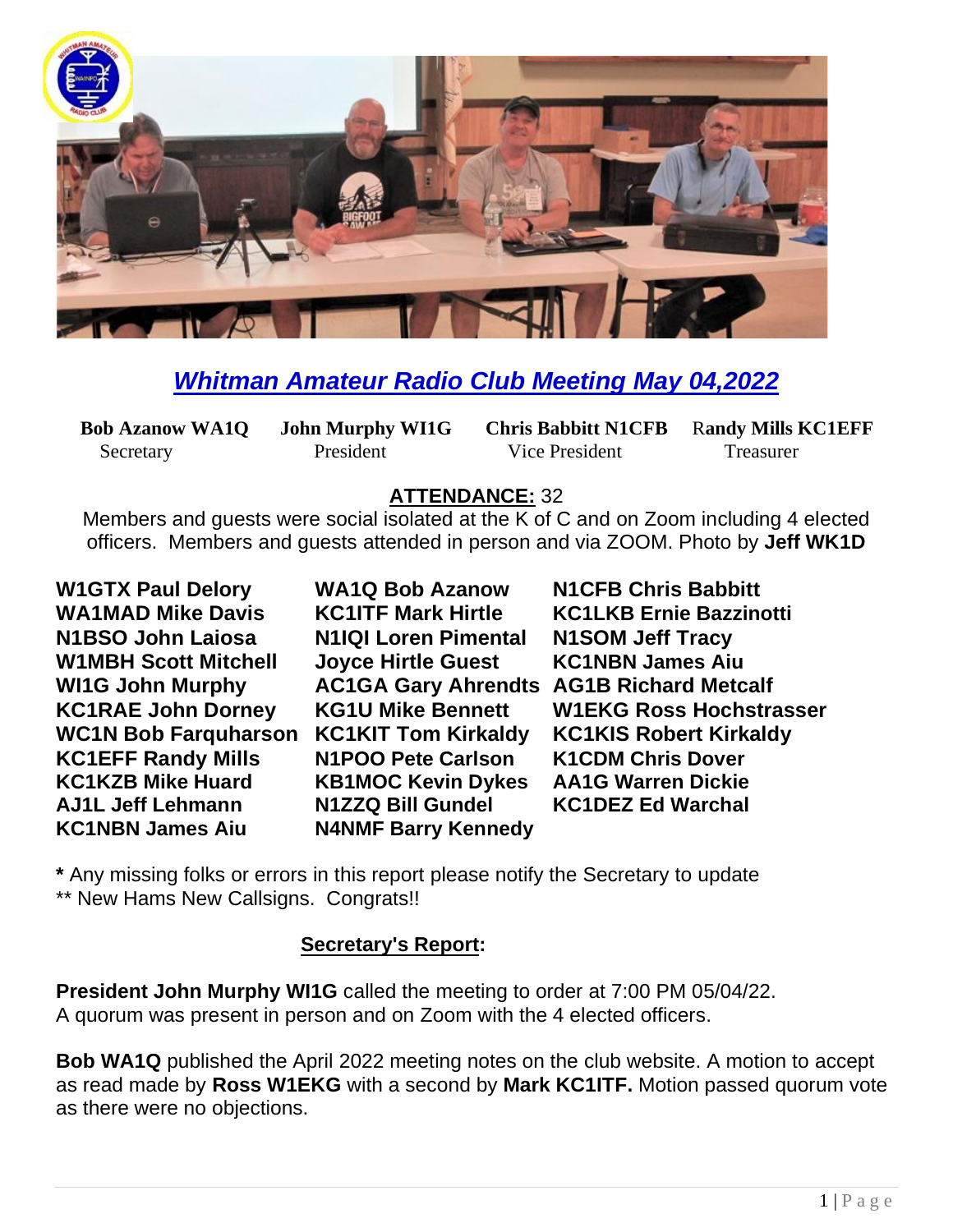

# *Whitman Amateur Radio Club Meeting May 04,2022*

 **Bob Azanow WA1Q John Murphy WI1G Chris Babbitt N1CFB** R**andy Mills KC1EFF Secretary President President Vice President Treasurer** 

## **ATTENDANCE:** 32

Members and guests were social isolated at the K of C and on Zoom including 4 elected officers. Members and guests attended in person and via ZOOM. Photo by **Jeff WK1D**

**W1GTX Paul Delory WA1Q Bob Azanow N1CFB Chris Babbitt WA1MAD Mike Davis KC1ITF Mark Hirtle KC1LKB Ernie Bazzinotti N1BSO John Laiosa N1IQI Loren Pimental N1SOM Jeff Tracy W1MBH Scott Mitchell Joyce Hirtle Guest KC1NBN James Aiu WI1G John Murphy AC1GA Gary Ahrendts AG1B Richard Metcalf WC1N Bob Farquharson KC1KIT Tom Kirkaldy KC1KIS Robert Kirkaldy KC1EFF Randy Mills N1POO Pete Carlson K1CDM Chris Dover KC1KZB Mike Huard KB1MOC Kevin Dykes AA1G Warren Dickie AJ1L Jeff Lehmann N1ZZQ Bill Gundel KC1DEZ Ed Warchal KC1NBN James Aiu N4NMF Barry Kennedy**

**KC1RAE John Dorney KG1U Mike Bennett W1EKG Ross Hochstrasser**

**\*** Any missing folks or errors in this report please notify the Secretary to update \*\* New Hams New Callsigns. Congrats!!

## **Secretary's Report:**

**President John Murphy WI1G** called the meeting to order at 7:00 PM 05/04/22. A quorum was present in person and on Zoom with the 4 elected officers.

**Bob WA1Q** published the April 2022 meeting notes on the club website. A motion to accept as read made by **Ross W1EKG** with a second by **Mark KC1ITF.** Motion passed quorum vote as there were no objections.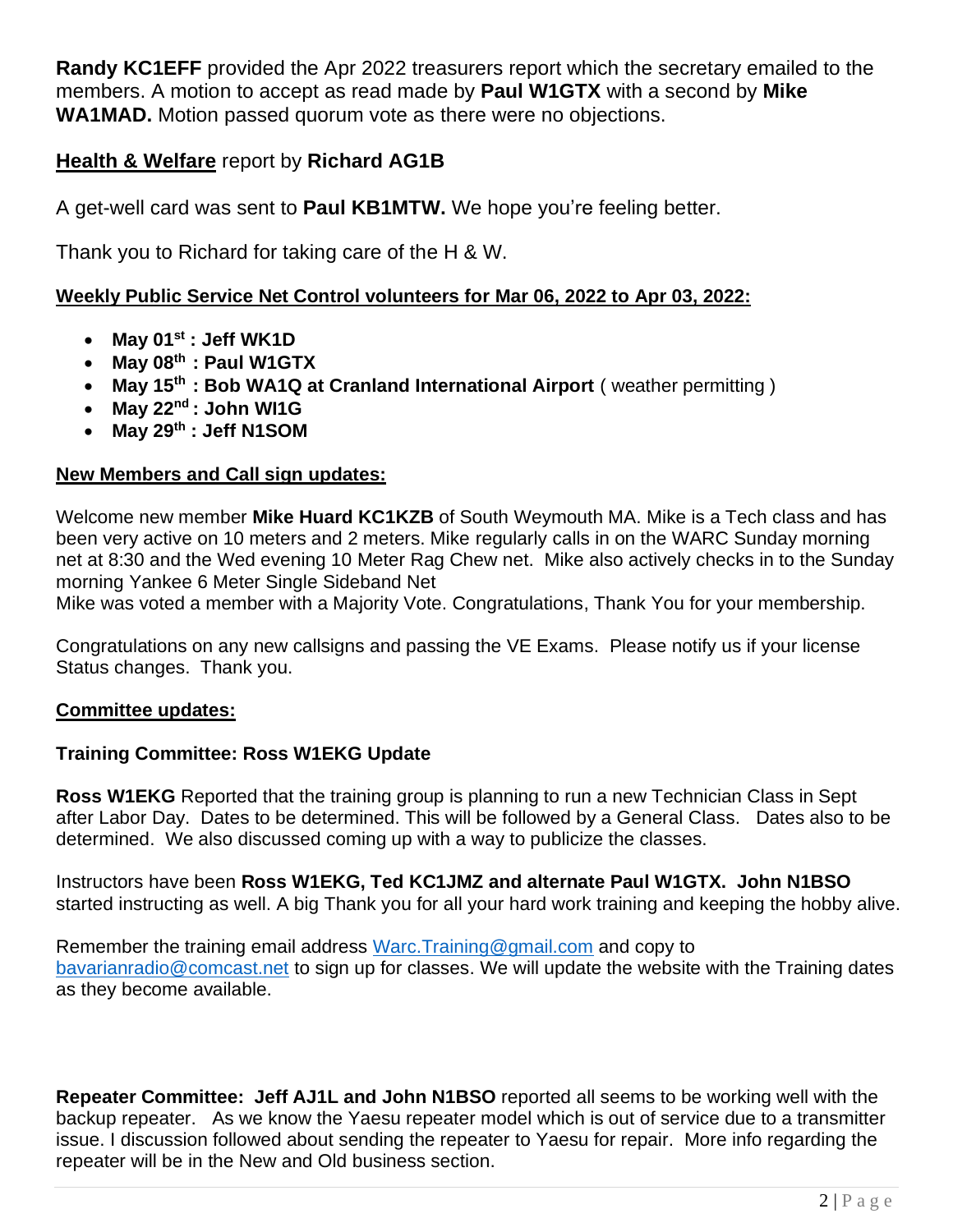**Randy KC1EFF** provided the Apr 2022 treasurers report which the secretary emailed to the members. A motion to accept as read made by **Paul W1GTX** with a second by **Mike WA1MAD.** Motion passed quorum vote as there were no objections.

# **Health & Welfare** report by **Richard AG1B**

A get-well card was sent to **Paul KB1MTW.** We hope you're feeling better.

Thank you to Richard for taking care of the H & W.

#### **Weekly Public Service Net Control volunteers for Mar 06, 2022 to Apr 03, 2022:**

- **May 01 st : Jeff WK1D**
- **May 08th : Paul W1GTX**
- **May 15 th : Bob WA1Q at Cranland International Airport** ( weather permitting )
- **May 22 nd : John WI1G**
- **May 29th : Jeff N1SOM**

#### **New Members and Call sign updates:**

Welcome new member **Mike Huard KC1KZB** of South Weymouth MA. Mike is a Tech class and has been very active on 10 meters and 2 meters. Mike regularly calls in on the WARC Sunday morning net at 8:30 and the Wed evening 10 Meter Rag Chew net. Mike also actively checks in to the Sunday morning Yankee 6 Meter Single Sideband Net

Mike was voted a member with a Majority Vote. Congratulations, Thank You for your membership.

Congratulations on any new callsigns and passing the VE Exams. Please notify us if your license Status changes. Thank you.

#### **Committee updates:**

#### **Training Committee: Ross W1EKG Update**

**Ross W1EKG** Reported that the training group is planning to run a new Technician Class in Sept after Labor Day. Dates to be determined. This will be followed by a General Class. Dates also to be determined. We also discussed coming up with a way to publicize the classes.

Instructors have been **Ross W1EKG, Ted KC1JMZ and alternate Paul W1GTX. John N1BSO** started instructing as well. A big Thank you for all your hard work training and keeping the hobby alive.

Remember the training email address [Warc.Training@gmail.com](mailto:Warc.Training@gmail.com) and copy to [bavarianradio@comcast.net](mailto:bavarianradio@comcast.net) to sign up for classes. We will update the website with the Training dates as they become available.

**Repeater Committee: Jeff AJ1L and John N1BSO** reported all seems to be working well with the backup repeater. As we know the Yaesu repeater model which is out of service due to a transmitter issue. I discussion followed about sending the repeater to Yaesu for repair. More info regarding the repeater will be in the New and Old business section.